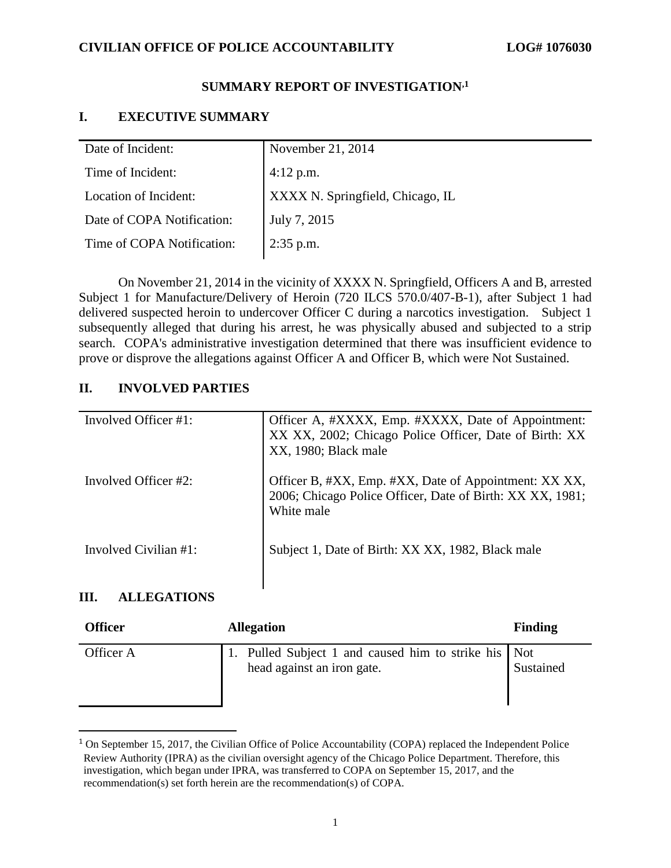# **CIVILIAN OFFICE OF POLICE ACCOUNTABILITY LOG# 1076030**

# **SUMMARY REPORT OF INVESTIGATION,1**

# **I. EXECUTIVE SUMMARY**

| Date of Incident:          | November 21, 2014                |
|----------------------------|----------------------------------|
| Time of Incident:          | $4:12$ p.m.                      |
| Location of Incident:      | XXXX N. Springfield, Chicago, IL |
| Date of COPA Notification: | July 7, 2015                     |
| Time of COPA Notification: | $2:35$ p.m.                      |
|                            |                                  |

On November 21, 2014 in the vicinity of XXXX N. Springfield, Officers A and B, arrested Subject 1 for Manufacture/Delivery of Heroin (720 ILCS 570.0/407-B-1), after Subject 1 had delivered suspected heroin to undercover Officer C during a narcotics investigation. Subject 1 subsequently alleged that during his arrest, he was physically abused and subjected to a strip search. COPA's administrative investigation determined that there was insufficient evidence to prove or disprove the allegations against Officer A and Officer B, which were Not Sustained.

# **II. INVOLVED PARTIES**

| Involved Officer #1:  | Officer A, #XXXX, Emp. #XXXX, Date of Appointment:<br>XX XX, 2002; Chicago Police Officer, Date of Birth: XX<br>XX, 1980; Black male |
|-----------------------|--------------------------------------------------------------------------------------------------------------------------------------|
| Involved Officer #2:  | Officer B, #XX, Emp. #XX, Date of Appointment: XX XX,<br>2006; Chicago Police Officer, Date of Birth: XX XX, 1981;<br>White male     |
| Involved Civilian #1: | Subject 1, Date of Birth: XX XX, 1982, Black male                                                                                    |

# **III. ALLEGATIONS**

 $\overline{\phantom{a}}$ 

| <b>Officer</b> | <b>Allegation</b>                                                               | <b>Finding</b> |
|----------------|---------------------------------------------------------------------------------|----------------|
| Officer A      | Pulled Subject 1 and caused him to strike his Not<br>head against an iron gate. | Sustained      |

<sup>&</sup>lt;sup>1</sup> On September 15, 2017, the Civilian Office of Police Accountability (COPA) replaced the Independent Police Review Authority (IPRA) as the civilian oversight agency of the Chicago Police Department. Therefore, this investigation, which began under IPRA, was transferred to COPA on September 15, 2017, and the recommendation(s) set forth herein are the recommendation(s) of COPA.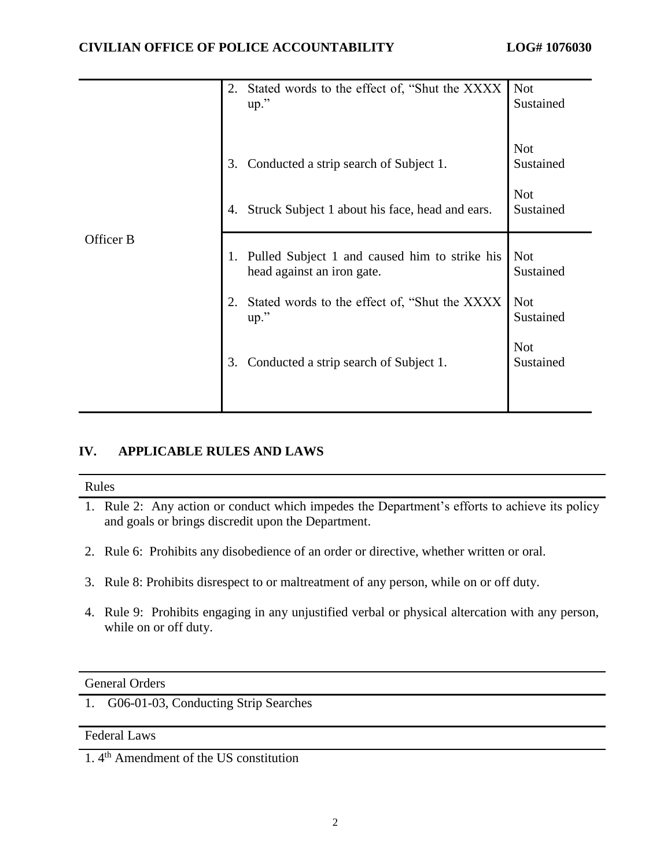|           | 2.       | Stated words to the effect of, "Shut the XXXX"<br>$up.$ "                                 | <b>Not</b><br>Sustained                            |
|-----------|----------|-------------------------------------------------------------------------------------------|----------------------------------------------------|
|           | 3.<br>4. | Conducted a strip search of Subject 1.<br>Struck Subject 1 about his face, head and ears. | <b>Not</b><br>Sustained<br><b>Not</b><br>Sustained |
| Officer B | 1.       | Pulled Subject 1 and caused him to strike his<br>head against an iron gate.               | <b>Not</b><br>Sustained                            |
|           |          | Stated words to the effect of, "Shut the XXXX"<br>$up.$ "                                 | <b>Not</b><br>Sustained                            |
|           | 3.       | Conducted a strip search of Subject 1.                                                    | <b>Not</b><br>Sustained                            |
|           |          |                                                                                           |                                                    |

# **IV. APPLICABLE RULES AND LAWS**

#### Rules

- 1. Rule 2: Any action or conduct which impedes the Department's efforts to achieve its policy and goals or brings discredit upon the Department.
- 2. Rule 6: Prohibits any disobedience of an order or directive, whether written or oral.
- 3. Rule 8: Prohibits disrespect to or maltreatment of any person, while on or off duty.
- 4. Rule 9: Prohibits engaging in any unjustified verbal or physical altercation with any person, while on or off duty.

# General Orders

1. G06-01-03, Conducting Strip Searches

# Federal Laws

1. 4th Amendment of the US constitution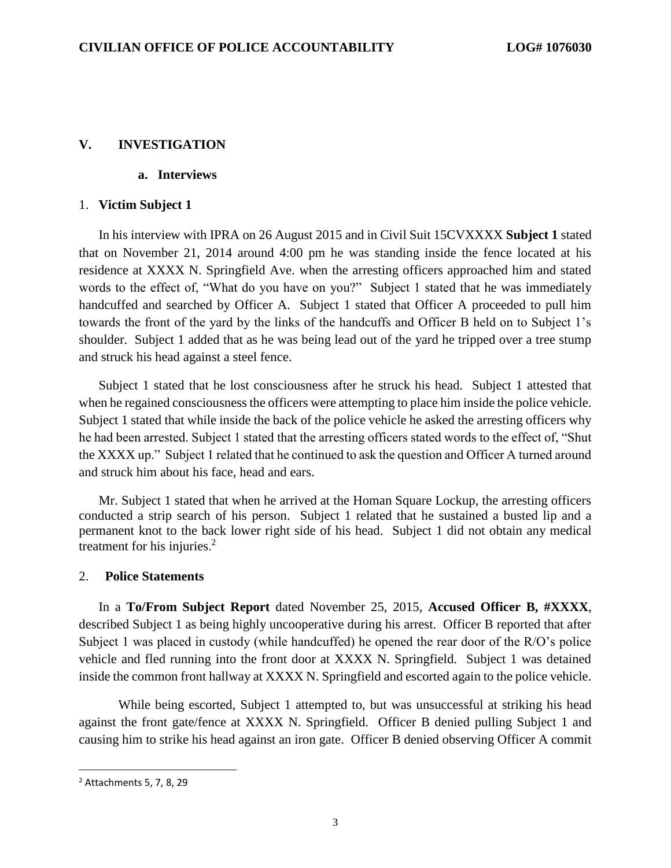# **V. INVESTIGATION**

# **a. Interviews**

#### 1. **Victim Subject 1**

In his interview with IPRA on 26 August 2015 and in Civil Suit 15CVXXXX **Subject 1** stated that on November 21, 2014 around 4:00 pm he was standing inside the fence located at his residence at XXXX N. Springfield Ave. when the arresting officers approached him and stated words to the effect of, "What do you have on you?" Subject 1 stated that he was immediately handcuffed and searched by Officer A. Subject 1 stated that Officer A proceeded to pull him towards the front of the yard by the links of the handcuffs and Officer B held on to Subject 1's shoulder. Subject 1 added that as he was being lead out of the yard he tripped over a tree stump and struck his head against a steel fence.

Subject 1 stated that he lost consciousness after he struck his head. Subject 1 attested that when he regained consciousness the officers were attempting to place him inside the police vehicle. Subject 1 stated that while inside the back of the police vehicle he asked the arresting officers why he had been arrested. Subject 1 stated that the arresting officers stated words to the effect of, "Shut the XXXX up." Subject 1 related that he continued to ask the question and Officer A turned around and struck him about his face, head and ears.

Mr. Subject 1 stated that when he arrived at the Homan Square Lockup, the arresting officers conducted a strip search of his person. Subject 1 related that he sustained a busted lip and a permanent knot to the back lower right side of his head. Subject 1 did not obtain any medical treatment for his injuries.<sup>2</sup>

#### 2. **Police Statements**

In a **To/From Subject Report** dated November 25, 2015, **Accused Officer B, #XXXX**, described Subject 1 as being highly uncooperative during his arrest. Officer B reported that after Subject 1 was placed in custody (while handcuffed) he opened the rear door of the R/O's police vehicle and fled running into the front door at XXXX N. Springfield. Subject 1 was detained inside the common front hallway at XXXX N. Springfield and escorted again to the police vehicle.

While being escorted, Subject 1 attempted to, but was unsuccessful at striking his head against the front gate/fence at XXXX N. Springfield. Officer B denied pulling Subject 1 and causing him to strike his head against an iron gate. Officer B denied observing Officer A commit

 $\overline{\phantom{a}}$ 

<sup>2</sup> Attachments 5, 7, 8, 29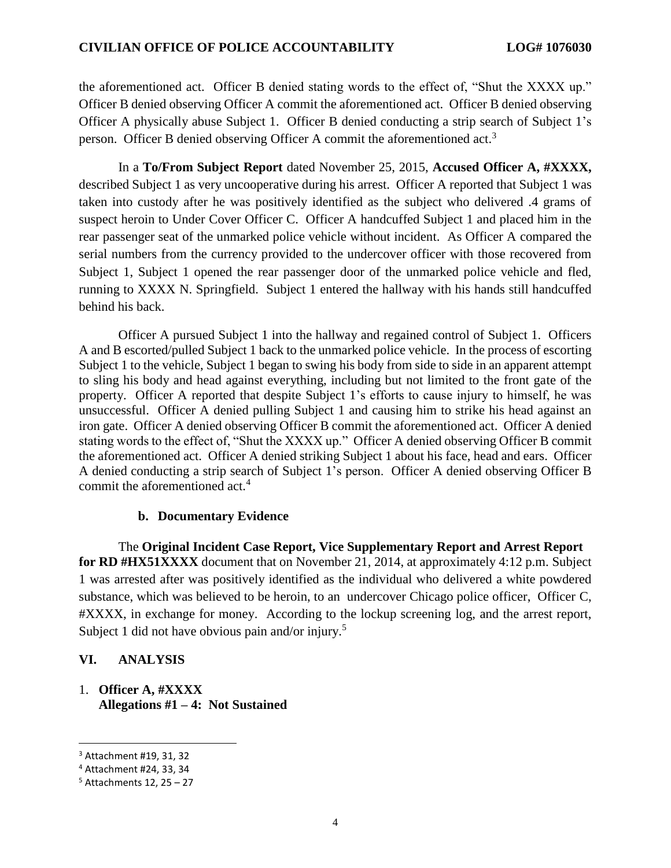the aforementioned act. Officer B denied stating words to the effect of, "Shut the XXXX up." Officer B denied observing Officer A commit the aforementioned act. Officer B denied observing Officer A physically abuse Subject 1. Officer B denied conducting a strip search of Subject 1's person. Officer B denied observing Officer A commit the aforementioned act.<sup>3</sup>

In a **To/From Subject Report** dated November 25, 2015, **Accused Officer A, #XXXX,** described Subject 1 as very uncooperative during his arrest. Officer A reported that Subject 1 was taken into custody after he was positively identified as the subject who delivered .4 grams of suspect heroin to Under Cover Officer C. Officer A handcuffed Subject 1 and placed him in the rear passenger seat of the unmarked police vehicle without incident. As Officer A compared the serial numbers from the currency provided to the undercover officer with those recovered from Subject 1, Subject 1 opened the rear passenger door of the unmarked police vehicle and fled, running to XXXX N. Springfield. Subject 1 entered the hallway with his hands still handcuffed behind his back.

Officer A pursued Subject 1 into the hallway and regained control of Subject 1. Officers A and B escorted/pulled Subject 1 back to the unmarked police vehicle. In the process of escorting Subject 1 to the vehicle, Subject 1 began to swing his body from side to side in an apparent attempt to sling his body and head against everything, including but not limited to the front gate of the property. Officer A reported that despite Subject 1's efforts to cause injury to himself, he was unsuccessful. Officer A denied pulling Subject 1 and causing him to strike his head against an iron gate. Officer A denied observing Officer B commit the aforementioned act. Officer A denied stating words to the effect of, "Shut the XXXX up." Officer A denied observing Officer B commit the aforementioned act. Officer A denied striking Subject 1 about his face, head and ears. Officer A denied conducting a strip search of Subject 1's person. Officer A denied observing Officer B commit the aforementioned act.<sup>4</sup>

# **b. Documentary Evidence**

The **Original Incident Case Report, Vice Supplementary Report and Arrest Report for RD #HX51XXXX** document that on November 21, 2014, at approximately 4:12 p.m. Subject 1 was arrested after was positively identified as the individual who delivered a white powdered substance, which was believed to be heroin, to an undercover Chicago police officer, Officer C, #XXXX, in exchange for money. According to the lockup screening log, and the arrest report, Subject 1 did not have obvious pain and/or injury.<sup>5</sup>

# **VI. ANALYSIS**

1. **Officer A, #XXXX Allegations #1 – 4: Not Sustained**

 $\overline{a}$ 

<sup>3</sup> Attachment #19, 31, 32

<sup>4</sup> Attachment #24, 33, 34

 $5$  Attachments 12, 25 – 27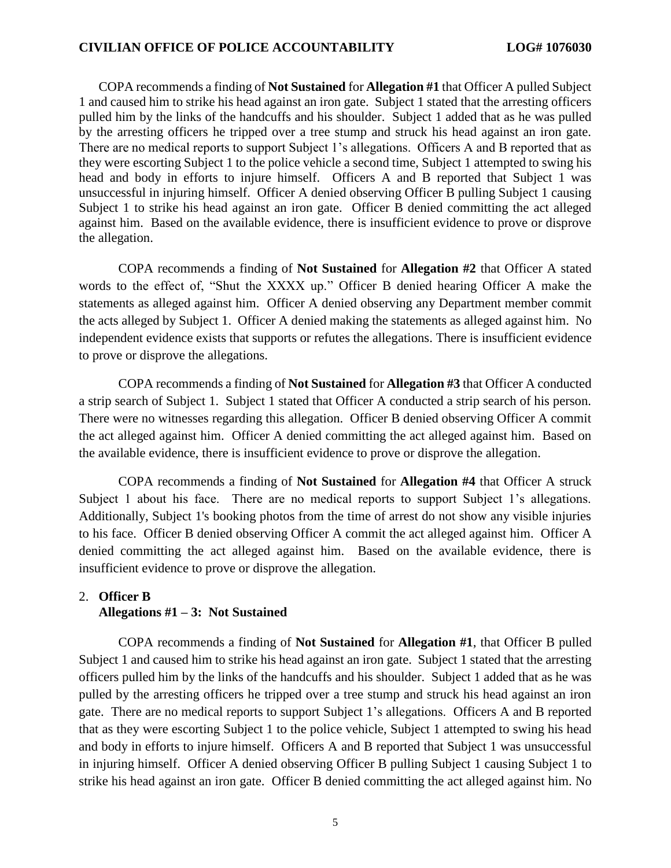### **CIVILIAN OFFICE OF POLICE ACCOUNTABILITY LOG# 1076030**

COPA recommends a finding of **Not Sustained** for **Allegation #1** that Officer A pulled Subject 1 and caused him to strike his head against an iron gate. Subject 1 stated that the arresting officers pulled him by the links of the handcuffs and his shoulder. Subject 1 added that as he was pulled by the arresting officers he tripped over a tree stump and struck his head against an iron gate. There are no medical reports to support Subject 1's allegations. Officers A and B reported that as they were escorting Subject 1 to the police vehicle a second time, Subject 1 attempted to swing his head and body in efforts to injure himself. Officers A and B reported that Subject 1 was unsuccessful in injuring himself. Officer A denied observing Officer B pulling Subject 1 causing Subject 1 to strike his head against an iron gate. Officer B denied committing the act alleged against him. Based on the available evidence, there is insufficient evidence to prove or disprove the allegation.

COPA recommends a finding of **Not Sustained** for **Allegation #2** that Officer A stated words to the effect of, "Shut the XXXX up." Officer B denied hearing Officer A make the statements as alleged against him. Officer A denied observing any Department member commit the acts alleged by Subject 1. Officer A denied making the statements as alleged against him. No independent evidence exists that supports or refutes the allegations. There is insufficient evidence to prove or disprove the allegations.

COPA recommends a finding of **Not Sustained** for **Allegation #3** that Officer A conducted a strip search of Subject 1. Subject 1 stated that Officer A conducted a strip search of his person. There were no witnesses regarding this allegation. Officer B denied observing Officer A commit the act alleged against him. Officer A denied committing the act alleged against him. Based on the available evidence, there is insufficient evidence to prove or disprove the allegation.

COPA recommends a finding of **Not Sustained** for **Allegation #4** that Officer A struck Subject 1 about his face. There are no medical reports to support Subject 1's allegations. Additionally, Subject 1's booking photos from the time of arrest do not show any visible injuries to his face. Officer B denied observing Officer A commit the act alleged against him. Officer A denied committing the act alleged against him. Based on the available evidence, there is insufficient evidence to prove or disprove the allegation.

# 2. **Officer B**

#### **Allegations #1 – 3: Not Sustained**

COPA recommends a finding of **Not Sustained** for **Allegation #1**, that Officer B pulled Subject 1 and caused him to strike his head against an iron gate. Subject 1 stated that the arresting officers pulled him by the links of the handcuffs and his shoulder. Subject 1 added that as he was pulled by the arresting officers he tripped over a tree stump and struck his head against an iron gate. There are no medical reports to support Subject 1's allegations. Officers A and B reported that as they were escorting Subject 1 to the police vehicle, Subject 1 attempted to swing his head and body in efforts to injure himself. Officers A and B reported that Subject 1 was unsuccessful in injuring himself. Officer A denied observing Officer B pulling Subject 1 causing Subject 1 to strike his head against an iron gate. Officer B denied committing the act alleged against him. No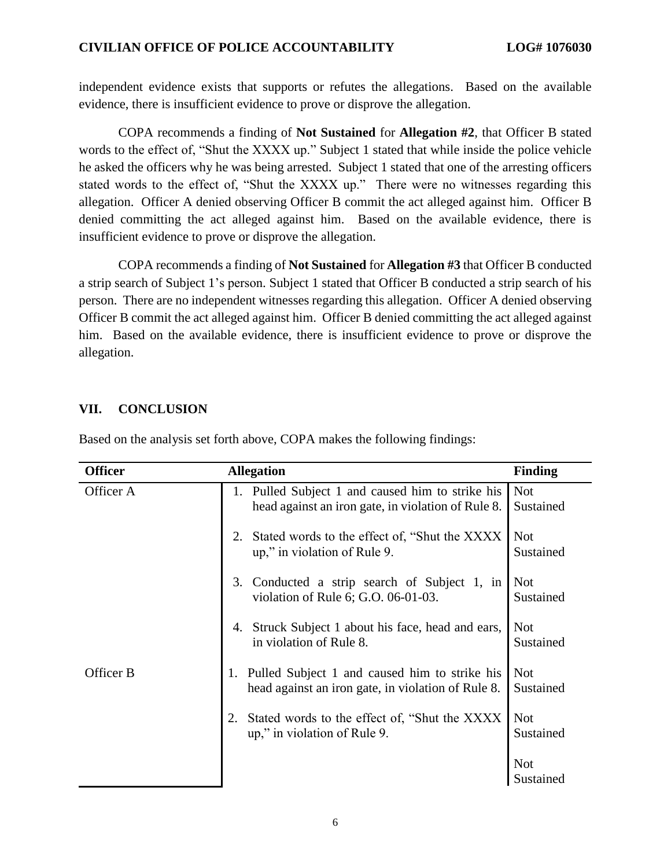# **CIVILIAN OFFICE OF POLICE ACCOUNTABILITY LOG# 1076030**

independent evidence exists that supports or refutes the allegations. Based on the available evidence, there is insufficient evidence to prove or disprove the allegation.

COPA recommends a finding of **Not Sustained** for **Allegation #2**, that Officer B stated words to the effect of, "Shut the XXXX up." Subject 1 stated that while inside the police vehicle he asked the officers why he was being arrested. Subject 1 stated that one of the arresting officers stated words to the effect of, "Shut the XXXX up." There were no witnesses regarding this allegation. Officer A denied observing Officer B commit the act alleged against him. Officer B denied committing the act alleged against him. Based on the available evidence, there is insufficient evidence to prove or disprove the allegation.

COPA recommends a finding of **Not Sustained** for **Allegation #3** that Officer B conducted a strip search of Subject 1's person. Subject 1 stated that Officer B conducted a strip search of his person. There are no independent witnesses regarding this allegation. Officer A denied observing Officer B commit the act alleged against him. Officer B denied committing the act alleged against him. Based on the available evidence, there is insufficient evidence to prove or disprove the allegation.

# **VII. CONCLUSION**

| <b>Officer</b> | <b>Allegation</b>                                                                                         | <b>Finding</b>          |
|----------------|-----------------------------------------------------------------------------------------------------------|-------------------------|
| Officer A      | 1. Pulled Subject 1 and caused him to strike his<br>head against an iron gate, in violation of Rule 8.    | <b>Not</b><br>Sustained |
|                | Stated words to the effect of, "Shut the XXXX"<br>2.<br>up," in violation of Rule 9.                      | <b>Not</b><br>Sustained |
|                | Conducted a strip search of Subject 1, in<br>3.<br>violation of Rule 6; G.O. 06-01-03.                    | <b>Not</b><br>Sustained |
|                | Struck Subject 1 about his face, head and ears,<br>4.<br>in violation of Rule 8.                          | <b>Not</b><br>Sustained |
| Officer B      | Pulled Subject 1 and caused him to strike his<br>1.<br>head against an iron gate, in violation of Rule 8. | <b>Not</b><br>Sustained |
|                | Stated words to the effect of, "Shut the XXXX"<br>2.<br>up," in violation of Rule 9.                      | <b>Not</b><br>Sustained |
|                |                                                                                                           | <b>Not</b><br>Sustained |

Based on the analysis set forth above, COPA makes the following findings: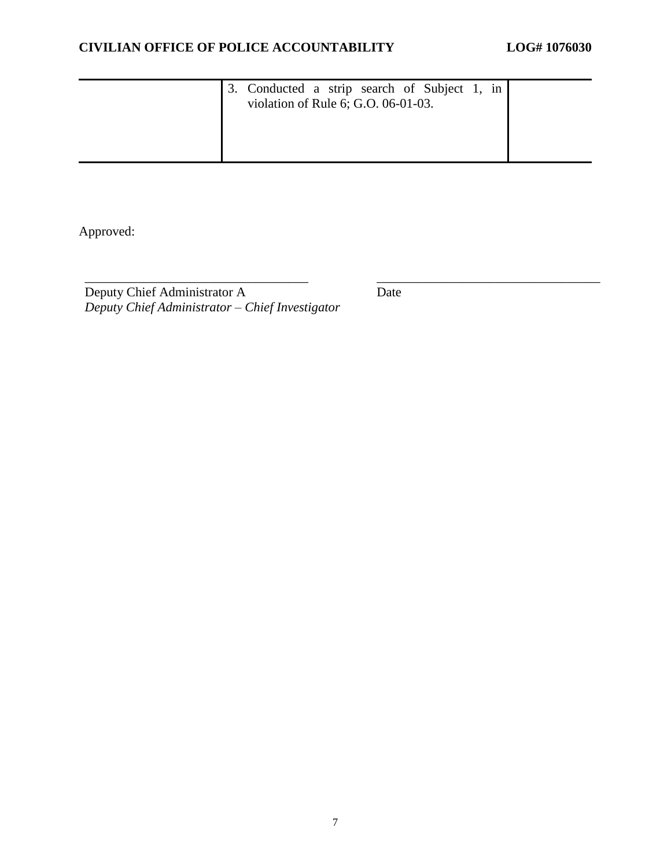| 3. Conducted a strip search of Subject 1, in<br>violation of Rule 6; G.O. 06-01-03. |  |
|-------------------------------------------------------------------------------------|--|
|                                                                                     |  |

\_\_\_\_\_\_\_\_\_\_\_\_\_\_\_\_\_\_\_\_\_\_\_\_\_\_\_\_\_\_\_\_\_\_ \_\_\_\_\_\_\_\_\_\_\_\_\_\_\_\_\_\_\_\_\_\_\_\_\_\_\_\_\_\_\_\_\_\_

Approved:

Deputy Chief Administrator A *Deputy Chief Administrator – Chief Investigator* Date